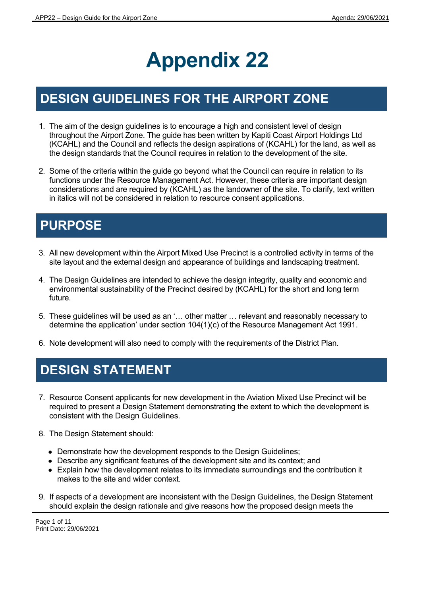# **Appendix 22**

# **DESIGN GUIDELINES FOR THE AIRPORT ZONE**

- 1. The aim of the design guidelines is to encourage a high and consistent level of design throughout the Airport Zone. The guide has been written by Kapiti Coast Airport Holdings Ltd (KCAHL) and the Council and reflects the design aspirations of (KCAHL) for the land, as well as the design standards that the Council requires in relation to the development of the site.
- 2. Some of the criteria within the guide go beyond what the Council can require in relation to its functions under the Resource Management Act. However, these criteria are important design considerations and are required by (KCAHL) as the landowner of the site. To clarify, text written in italics will not be considered in relation to resource consent applications.

# **PURPOSE**

- 3. All new development within the Airport Mixed Use Precinct is a controlled activity in terms of the site layout and the external design and appearance of buildings and landscaping treatment.
- 4. The Design Guidelines are intended to achieve the design integrity, quality and economic and environmental sustainability of the Precinct desired by (KCAHL) for the short and long term future.
- 5. These guidelines will be used as an '… other matter … relevant and reasonably necessary to determine the application' under section 104(1)(c) of the Resource Management Act 1991.
- 6. Note development will also need to comply with the requirements of the District Plan.

# **DESIGN STATEMENT**

- 7. Resource Consent applicants for new development in the Aviation Mixed Use Precinct will be required to present a Design Statement demonstrating the extent to which the development is consistent with the Design Guidelines.
- 8. The Design Statement should:
	- Demonstrate how the development responds to the Design Guidelines;
	- Describe any significant features of the development site and its context; and
	- Explain how the development relates to its immediate surroundings and the contribution it makes to the site and wider context.
- 9. If aspects of a development are inconsistent with the Design Guidelines, the Design Statement should explain the design rationale and give reasons how the proposed design meets the

Page 1 of 11 Print Date: 29/06/2021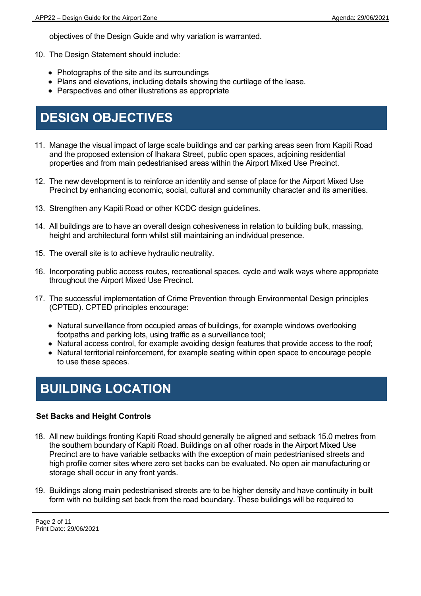objectives of the Design Guide and why variation is warranted.

- 10. The Design Statement should include:
	- Photographs of the site and its surroundings
	- Plans and elevations, including details showing the curtilage of the lease.
	- Perspectives and other illustrations as appropriate

### **DESIGN OBJECTIVES**

- 11. Manage the visual impact of large scale buildings and car parking areas seen from Kapiti Road and the proposed extension of Ihakara Street, public open spaces, adjoining residential properties and from main pedestrianised areas within the Airport Mixed Use Precinct.
- 12. The new development is to reinforce an identity and sense of place for the Airport Mixed Use Precinct by enhancing economic, social, cultural and community character and its amenities.
- 13. Strengthen any Kapiti Road or other KCDC design guidelines.
- 14. All buildings are to have an overall design cohesiveness in relation to building bulk, massing, height and architectural form whilst still maintaining an individual presence.
- 15. The overall site is to achieve hydraulic neutrality.
- 16. Incorporating public access routes, recreational spaces, cycle and walk ways where appropriate throughout the Airport Mixed Use Precinct.
- 17. The successful implementation of Crime Prevention through Environmental Design principles (CPTED). CPTED principles encourage:
	- Natural surveillance from occupied areas of buildings, for example windows overlooking footpaths and parking lots, using traffic as a surveillance tool;
	- Natural access control, for example avoiding design features that provide access to the roof;
	- Natural territorial reinforcement, for example seating within open space to encourage people to use these spaces.

### **BUILDING LOCATION**

#### **Set Backs and Height Controls**

- 18. All new buildings fronting Kapiti Road should generally be aligned and setback 15.0 metres from the southern boundary of Kapiti Road. Buildings on all other roads in the Airport Mixed Use Precinct are to have variable setbacks with the exception of main pedestrianised streets and high profile corner sites where zero set backs can be evaluated. No open air manufacturing or storage shall occur in any front yards.
- 19. Buildings along main pedestrianised streets are to be higher density and have continuity in built form with no building set back from the road boundary. These buildings will be required to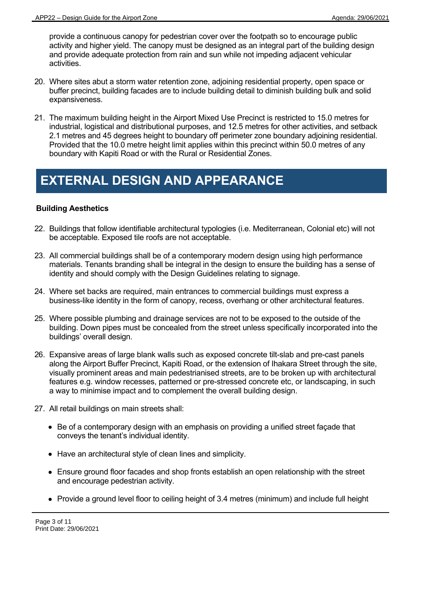provide a continuous canopy for pedestrian cover over the footpath so to encourage public activity and higher yield. The canopy must be designed as an integral part of the building design and provide adequate protection from rain and sun while not impeding adjacent vehicular activities.

- 20. Where sites abut a storm water retention zone, adjoining residential property, open space or buffer precinct, building facades are to include building detail to diminish building bulk and solid expansiveness.
- 21. The maximum building height in the Airport Mixed Use Precinct is restricted to 15.0 metres for industrial, logistical and distributional purposes, and 12.5 metres for other activities, and setback 2.1 metres and 45 degrees height to boundary off perimeter zone boundary adjoining residential. Provided that the 10.0 metre height limit applies within this precinct within 50.0 metres of any boundary with Kapiti Road or with the Rural or Residential Zones.

### **EXTERNAL DESIGN AND APPEARANCE**

### **Building Aesthetics**

- 22. Buildings that follow identifiable architectural typologies (i.e. Mediterranean, Colonial etc) will not be acceptable. Exposed tile roofs are not acceptable.
- 23. All commercial buildings shall be of a contemporary modern design using high performance materials. Tenants branding shall be integral in the design to ensure the building has a sense of identity and should comply with the Design Guidelines relating to signage.
- 24. Where set backs are required, main entrances to commercial buildings must express a business-like identity in the form of canopy, recess, overhang or other architectural features.
- 25. Where possible plumbing and drainage services are not to be exposed to the outside of the building. Down pipes must be concealed from the street unless specifically incorporated into the buildings' overall design.
- 26. Expansive areas of large blank walls such as exposed concrete tilt-slab and pre-cast panels along the Airport Buffer Precinct, Kapiti Road, or the extension of Ihakara Street through the site, visually prominent areas and main pedestrianised streets, are to be broken up with architectural features e.g. window recesses, patterned or pre-stressed concrete etc, or landscaping, in such a way to minimise impact and to complement the overall building design.
- 27. All retail buildings on main streets shall:
	- Be of a contemporary design with an emphasis on providing a unified street façade that conveys the tenant's individual identity.
	- Have an architectural style of clean lines and simplicity.
	- Ensure ground floor facades and shop fronts establish an open relationship with the street and encourage pedestrian activity.
	- Provide a ground level floor to ceiling height of 3.4 metres (minimum) and include full height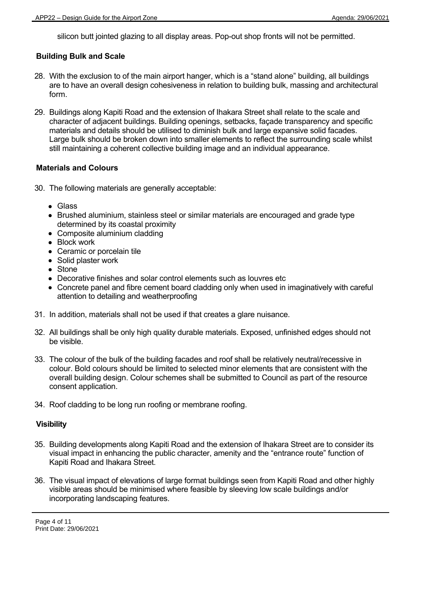silicon butt jointed glazing to all display areas. Pop-out shop fronts will not be permitted.

### **Building Bulk and Scale**

- 28. With the exclusion to of the main airport hanger, which is a "stand alone" building, all buildings are to have an overall design cohesiveness in relation to building bulk, massing and architectural form.
- 29. Buildings along Kapiti Road and the extension of Ihakara Street shall relate to the scale and character of adjacent buildings. Building openings, setbacks, façade transparency and specific materials and details should be utilised to diminish bulk and large expansive solid facades. Large bulk should be broken down into smaller elements to reflect the surrounding scale whilst still maintaining a coherent collective building image and an individual appearance.

#### **Materials and Colours**

- 30. The following materials are generally acceptable:
	- Glass
	- Brushed aluminium, stainless steel or similar materials are encouraged and grade type determined by its coastal proximity
	- Composite aluminium cladding
	- Block work
	- Ceramic or porcelain tile
	- Solid plaster work
	- Stone
	- Decorative finishes and solar control elements such as louvres etc
	- Concrete panel and fibre cement board cladding only when used in imaginatively with careful attention to detailing and weatherproofing
- 31. In addition, materials shall not be used if that creates a glare nuisance.
- 32. All buildings shall be only high quality durable materials. Exposed, unfinished edges should not be visible.
- 33. The colour of the bulk of the building facades and roof shall be relatively neutral/recessive in colour. Bold colours should be limited to selected minor elements that are consistent with the overall building design. Colour schemes shall be submitted to Council as part of the resource consent application.
- 34. Roof cladding to be long run roofing or membrane roofing.

#### **Visibility**

- 35. Building developments along Kapiti Road and the extension of Ihakara Street are to consider its visual impact in enhancing the public character, amenity and the "entrance route" function of Kapiti Road and Ihakara Street.
- 36. The visual impact of elevations of large format buildings seen from Kapiti Road and other highly visible areas should be minimised where feasible by sleeving low scale buildings and/or incorporating landscaping features.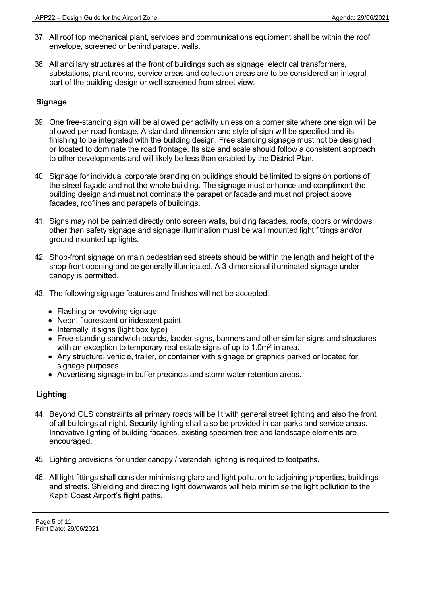- 37. All roof top mechanical plant, services and communications equipment shall be within the roof envelope, screened or behind parapet walls.
- 38. All ancillary structures at the front of buildings such as signage, electrical transformers, substations, plant rooms, service areas and collection areas are to be considered an integral part of the building design or well screened from street view.

### **Signage**

- 39. One free-standing sign will be allowed per activity unless on a corner site where one sign will be allowed per road frontage. A standard dimension and style of sign will be specified and its finishing to be integrated with the building design. Free standing signage must not be designed or located to dominate the road frontage. Its size and scale should follow a consistent approach to other developments and will likely be less than enabled by the District Plan.
- 40. Signage for individual corporate branding on buildings should be limited to signs on portions of the street façade and not the whole building. The signage must enhance and compliment the building design and must not dominate the parapet or facade and must not project above facades, rooflines and parapets of buildings.
- 41. Signs may not be painted directly onto screen walls, building facades, roofs, doors or windows other than safety signage and signage illumination must be wall mounted light fittings and/or ground mounted up-lights.
- 42. Shop-front signage on main pedestrianised streets should be within the length and height of the shop-front opening and be generally illuminated. A 3-dimensional illuminated signage under canopy is permitted.
- 43. The following signage features and finishes will not be accepted:
	- Flashing or revolving signage
	- Neon, fluorescent or iridescent paint
	- $\bullet$  Internally lit signs (light box type)
	- Free-standing sandwich boards, ladder signs, banners and other similar signs and structures with an exception to temporary real estate signs of up to 1.0m<sup>2</sup> in area.
	- Any structure, vehicle, trailer, or container with signage or graphics parked or located for signage purposes.
	- Advertising signage in buffer precincts and storm water retention areas.

### **Lighting**

- 44. Beyond OLS constraints all primary roads will be lit with general street lighting and also the front of all buildings at night. Security lighting shall also be provided in car parks and service areas. Innovative lighting of building facades, existing specimen tree and landscape elements are encouraged.
- 45. Lighting provisions for under canopy / verandah lighting is required to footpaths.
- 46. All light fittings shall consider minimising glare and light pollution to adjoining properties, buildings and streets. Shielding and directing light downwards will help minimise the light pollution to the Kapiti Coast Airport's flight paths.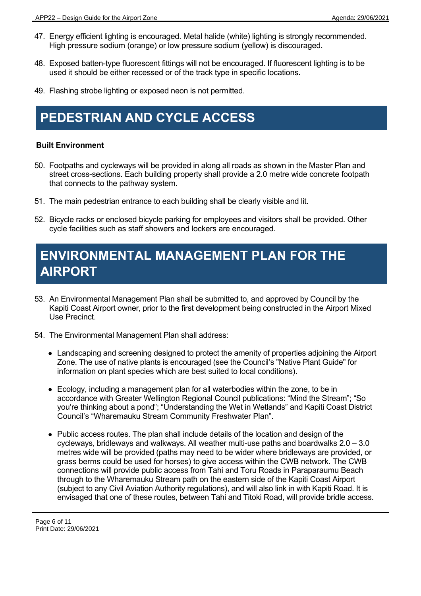- 47. Energy efficient lighting is encouraged. Metal halide (white) lighting is strongly recommended. High pressure sodium (orange) or low pressure sodium (yellow) is discouraged.
- 48. Exposed batten-type fluorescent fittings will not be encouraged. If fluorescent lighting is to be used it should be either recessed or of the track type in specific locations.
- 49. Flashing strobe lighting or exposed neon is not permitted.

### **PEDESTRIAN AND CYCLE ACCESS**

#### **Built Environment**

- 50. Footpaths and cycleways will be provided in along all roads as shown in the Master Plan and street cross-sections. Each building property shall provide a 2.0 metre wide concrete footpath that connects to the pathway system.
- 51. The main pedestrian entrance to each building shall be clearly visible and lit.
- 52. Bicycle racks or enclosed bicycle parking for employees and visitors shall be provided. Other cycle facilities such as staff showers and lockers are encouraged.

### **ENVIRONMENTAL MANAGEMENT PLAN FOR THE AIRPORT**

- 53. An Environmental Management Plan shall be submitted to, and approved by Council by the Kapiti Coast Airport owner, prior to the first development being constructed in the Airport Mixed Use Precinct.
- 54. The Environmental Management Plan shall address:
	- Landscaping and screening designed to protect the amenity of properties adjoining the Airport Zone. The use of native plants is encouraged (see the Council's "Native Plant Guide" for information on plant species which are best suited to local conditions).
	- Ecology, including a management plan for all waterbodies within the zone, to be in accordance with Greater Wellington Regional Council publications: "Mind the Stream"; "So you're thinking about a pond"; "Understanding the Wet in Wetlands" and Kapiti Coast District Council's "Wharemauku Stream Community Freshwater Plan".
	- Public access routes. The plan shall include details of the location and design of the cycleways, bridleways and walkways. All weather multi-use paths and boardwalks  $2.0 - 3.0$ metres wide will be provided (paths may need to be wider where bridleways are provided, or grass berms could be used for horses) to give access within the CWB network. The CWB connections will provide public access from Tahi and Toru Roads in Paraparaumu Beach through to the Wharemauku Stream path on the eastern side of the Kapiti Coast Airport (subject to any Civil Aviation Authority regulations), and will also link in with Kapiti Road. It is envisaged that one of these routes, between Tahi and Titoki Road, will provide bridle access.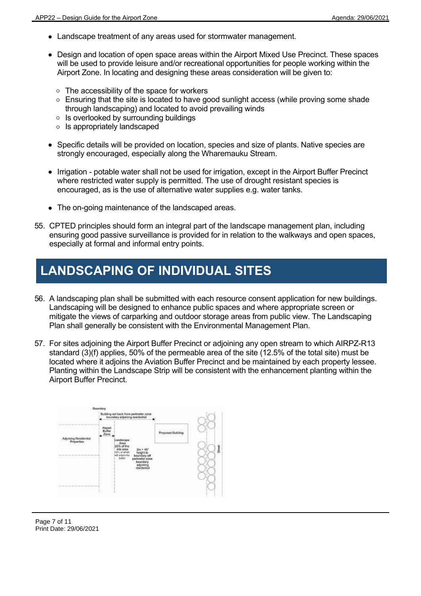- Landscape treatment of any areas used for stormwater management.
- Design and location of open space areas within the Airport Mixed Use Precinct. These spaces will be used to provide leisure and/or recreational opportunities for people working within the Airport Zone. In locating and designing these areas consideration will be given to:
	- The accessibility of the space for workers
	- **Ensuring that the site is located to have good sunlight access (while proving some shade** through landscaping) and located to avoid prevailing winds
	- **Is overlooked by surrounding buildings**
	- **Is appropriately landscaped**
- Specific details will be provided on location, species and size of plants. Native species are strongly encouraged, especially along the Wharemauku Stream.
- Irrigation potable water shall not be used for irrigation, except in the Airport Buffer Precinct where restricted water supply is permitted. The use of drought resistant species is encouraged, as is the use of alternative water supplies e.g. water tanks.
- The on-going maintenance of the landscaped areas.
- 55. CPTED principles should form an integral part of the landscape management plan, including ensuring good passive surveillance is provided for in relation to the walkways and open spaces, especially at formal and informal entry points.

# **LANDSCAPING OF INDIVIDUAL SITES**

- 56. A landscaping plan shall be submitted with each resource consent application for new buildings. Landscaping will be designed to enhance public spaces and where appropriate screen or mitigate the views of carparking and outdoor storage areas from public view. The Landscaping Plan shall generally be consistent with the Environmental Management Plan.
- 57. For sites adjoining the Airport Buffer Precinct or adjoining any open stream to which AIRPZ-R13 standard (3)(f) applies, 50% of the permeable area of the site (12.5% of the total site) must be located where it adjoins the Aviation Buffer Precinct and be maintained by each property lessee. Planting within the Landscape Strip will be consistent with the enhancement planting within the Airport Buffer Precinct.

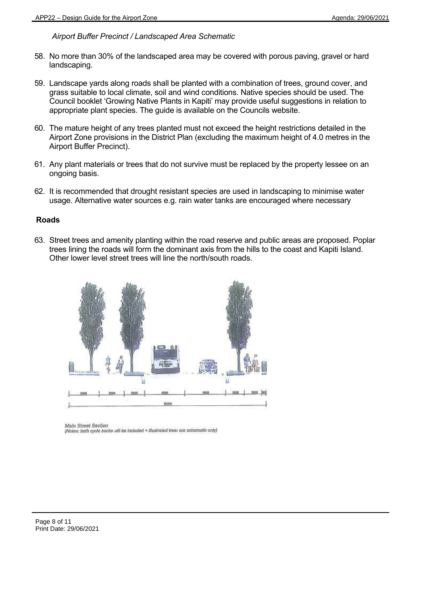### *Airport Buffer Precinct / Landscaped Area Schematic*

- 58. No more than 30% of the landscaped area may be covered with porous paving, gravel or hard landscaping.
- 59. Landscape yards along roads shall be planted with a combination of trees, ground cover, and grass suitable to local climate, soil and wind conditions. Native species should be used. The Council booklet 'Growing Native Plants in Kapiti' may provide useful suggestions in relation to appropriate plant species. The guide is available on the Councils website.
- 60. The mature height of any trees planted must not exceed the height restrictions detailed in the Airport Zone provisions in the District Plan (excluding the maximum height of 4.0 metres in the Airport Buffer Precinct).
- 61. Any plant materials or trees that do not survive must be replaced by the property lessee on an ongoing basis.
- 62. It is recommended that drought resistant species are used in landscaping to minimise water usage. Alternative water sources e.g. rain water tanks are encouraged where necessary

#### **Roads**

63. Street trees and amenity planting within the road reserve and public areas are proposed. Poplar trees lining the roads will form the dominant axis from the hills to the coast and Kapiti Island. Other lower level street trees will line the north/south roads.



Main Street Section (Notes: both cycle tracks will be included + illustrated tree: are schamatic only)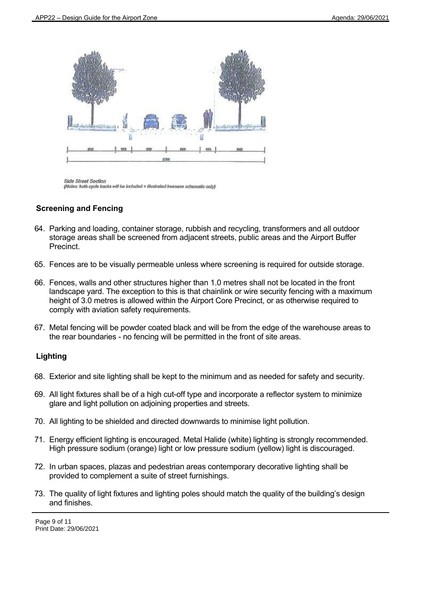

**Side Street Section** (Notes: hoth cycle tracks will be included + illustrated beesere schematic only)

### **Screening and Fencing**

- 64. Parking and loading, container storage, rubbish and recycling, transformers and all outdoor storage areas shall be screened from adjacent streets, public areas and the Airport Buffer Precinct.
- 65. Fences are to be visually permeable unless where screening is required for outside storage.
- 66. Fences, walls and other structures higher than 1.0 metres shall not be located in the front landscape yard. The exception to this is that chainlink or wire security fencing with a maximum height of 3.0 metres is allowed within the Airport Core Precinct, or as otherwise required to comply with aviation safety requirements.
- 67. Metal fencing will be powder coated black and will be from the edge of the warehouse areas to the rear boundaries - no fencing will be permitted in the front of site areas.

### **Lighting**

- 68. Exterior and site lighting shall be kept to the minimum and as needed for safety and security.
- 69. All light fixtures shall be of a high cut-off type and incorporate a reflector system to minimize glare and light pollution on adjoining properties and streets.
- 70. All lighting to be shielded and directed downwards to minimise light pollution.
- 71. Energy efficient lighting is encouraged. Metal Halide (white) lighting is strongly recommended. High pressure sodium (orange) light or low pressure sodium (yellow) light is discouraged.
- 72. In urban spaces, plazas and pedestrian areas contemporary decorative lighting shall be provided to complement a suite of street furnishings.
- 73. The quality of light fixtures and lighting poles should match the quality of the building's design and finishes.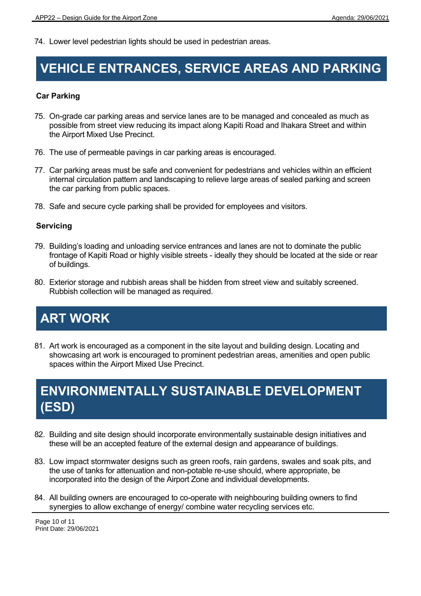74. Lower level pedestrian lights should be used in pedestrian areas.

### **VEHICLE ENTRANCES, SERVICE AREAS AND PARKING**

### **Car Parking**

- 75. On-grade car parking areas and service lanes are to be managed and concealed as much as possible from street view reducing its impact along Kapiti Road and Ihakara Street and within the Airport Mixed Use Precinct.
- 76. The use of permeable pavings in car parking areas is encouraged.
- 77. Car parking areas must be safe and convenient for pedestrians and vehicles within an efficient internal circulation pattern and landscaping to relieve large areas of sealed parking and screen the car parking from public spaces.
- 78. Safe and secure cycle parking shall be provided for employees and visitors.

### **Servicing**

- 79. Building's loading and unloading service entrances and lanes are not to dominate the public frontage of Kapiti Road or highly visible streets - ideally they should be located at the side or rear of buildings.
- 80. Exterior storage and rubbish areas shall be hidden from street view and suitably screened. Rubbish collection will be managed as required.

# **ART WORK**

81. Art work is encouraged as a component in the site layout and building design. Locating and showcasing art work is encouraged to prominent pedestrian areas, amenities and open public spaces within the Airport Mixed Use Precinct.

# **ENVIRONMENTALLY SUSTAINABLE DEVELOPMENT (ESD)**

- 82. Building and site design should incorporate environmentally sustainable design initiatives and these will be an accepted feature of the external design and appearance of buildings.
- 83. Low impact stormwater designs such as green roofs, rain gardens, swales and soak pits, and the use of tanks for attenuation and non-potable re-use should, where appropriate, be incorporated into the design of the Airport Zone and individual developments.
- 84. All building owners are encouraged to co-operate with neighbouring building owners to find synergies to allow exchange of energy/ combine water recycling services etc.

Page 10 of 11 Print Date: 29/06/2021